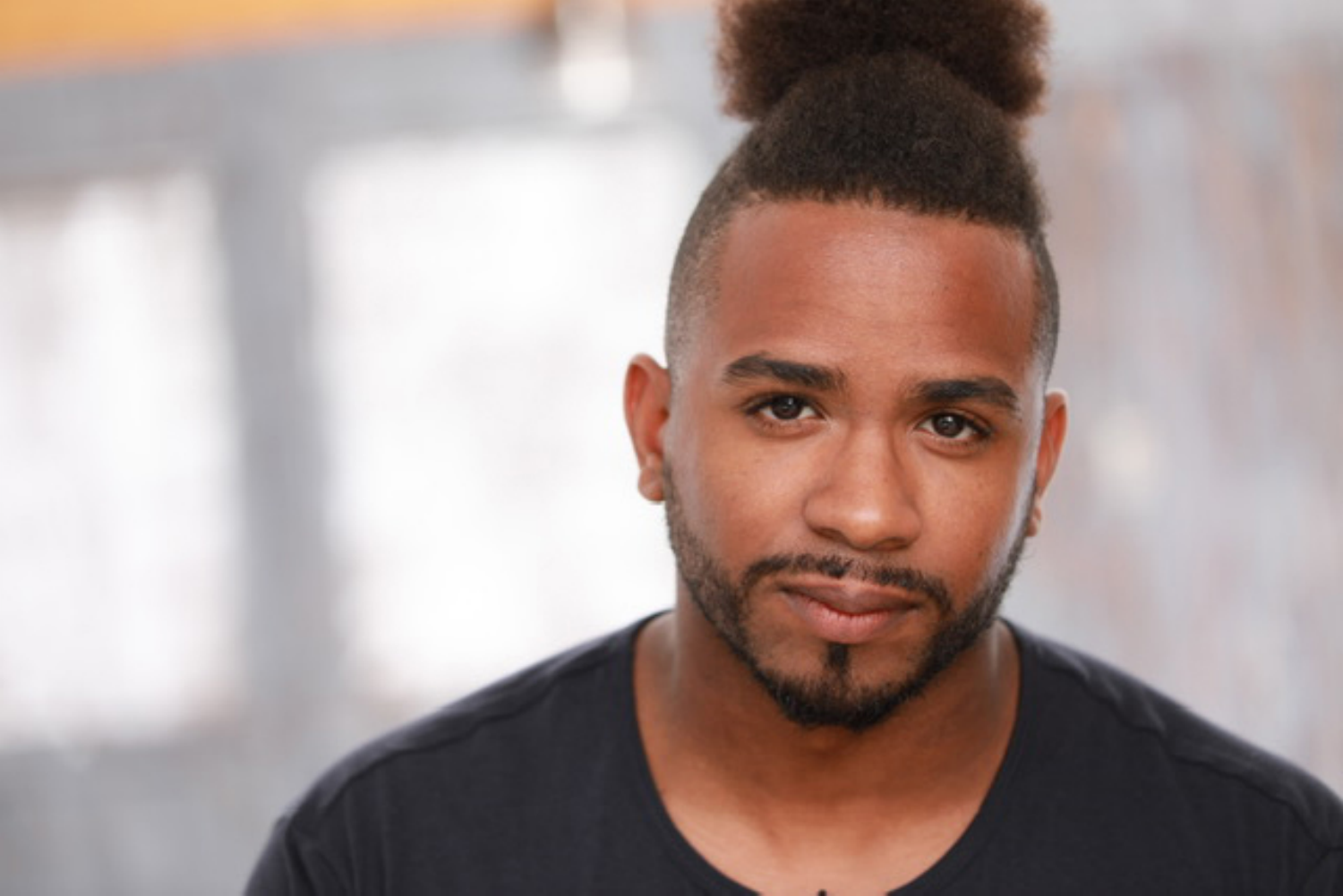